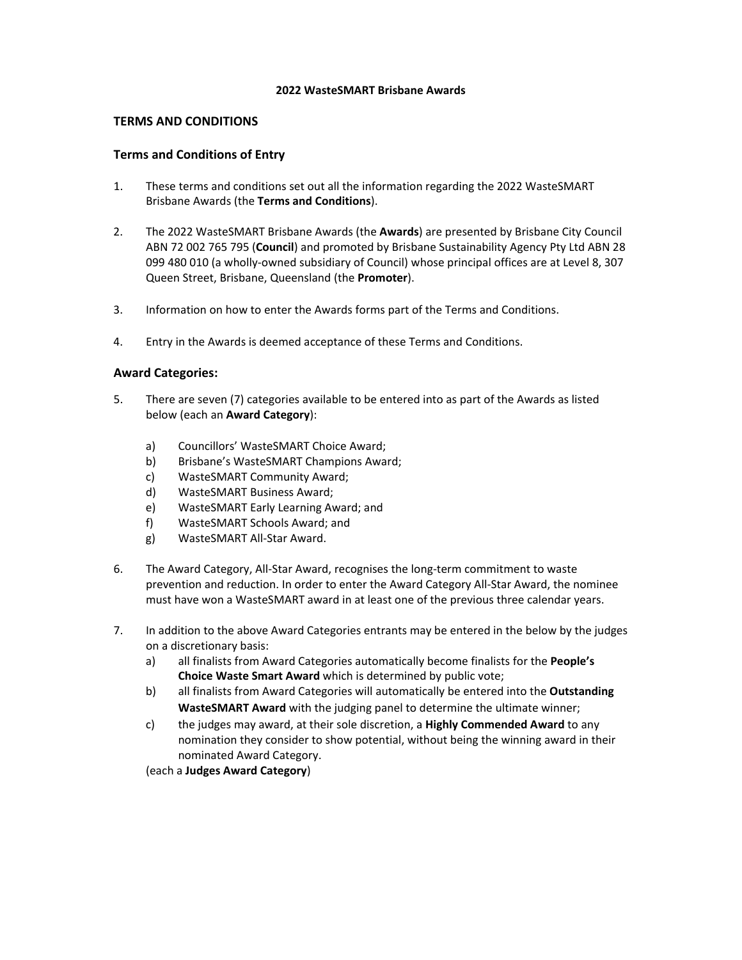#### **2022 WasteSMART Brisbane Awards**

### **TERMS AND CONDITIONS**

### **Terms and Conditions of Entry**

- 1. These terms and conditions set out all the information regarding the 2022 WasteSMART Brisbane Awards (the **Terms and Conditions**).
- 2. The 2022 WasteSMART Brisbane Awards (the **Awards**) are presented by Brisbane City Council ABN 72 002 765 795 (**Council**) and promoted by Brisbane Sustainability Agency Pty Ltd ABN 28 099 480 010 (a wholly-owned subsidiary of Council) whose principal offices are at Level 8, 307 Queen Street, Brisbane, Queensland (the **Promoter**).
- 3. Information on how to enter the Awards forms part of the Terms and Conditions.
- 4. Entry in the Awards is deemed acceptance of these Terms and Conditions.

### **Award Categories:**

- 5. There are seven (7) categories available to be entered into as part of the Awards as listed below (each an **Award Category**):
	- a) Councillors' WasteSMART Choice Award;
	- b) Brisbane's WasteSMART Champions Award;
	- c) WasteSMART Community Award;
	- d) WasteSMART Business Award;
	- e) WasteSMART Early Learning Award; and
	- f) WasteSMART Schools Award; and
	- g) WasteSMART All‐Star Award.
- 6. The Award Category, All‐Star Award, recognises the long‐term commitment to waste prevention and reduction. In order to enter the Award Category All‐Star Award, the nominee must have won a WasteSMART award in at least one of the previous three calendar years.
- 7. In addition to the above Award Categories entrants may be entered in the below by the judges on a discretionary basis:
	- a) all finalists from Award Categories automatically become finalists for the **People's Choice Waste Smart Award** which is determined by public vote;
	- b) all finalists from Award Categories will automatically be entered into the **Outstanding WasteSMART Award** with the judging panel to determine the ultimate winner;
	- c) the judges may award, at their sole discretion, a **Highly Commended Award** to any nomination they consider to show potential, without being the winning award in their nominated Award Category.

(each a **Judges Award Category**)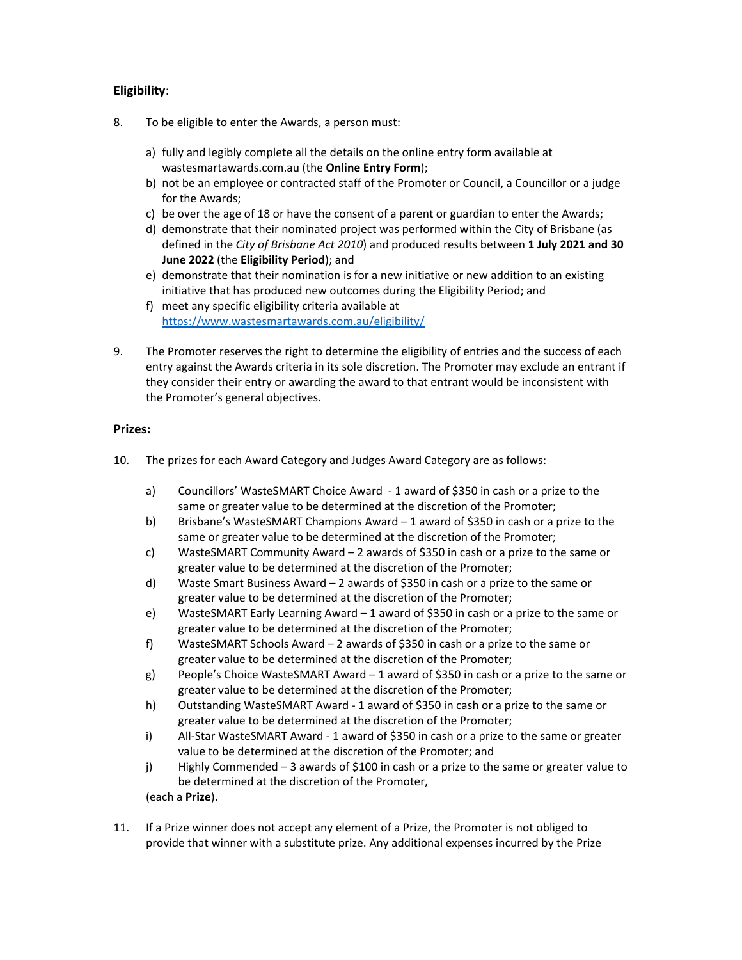# **Eligibility**:

- 8. To be eligible to enter the Awards, a person must:
	- a) fully and legibly complete all the details on the online entry form available at wastesmartawards.com.au (the **Online Entry Form**);
	- b) not be an employee or contracted staff of the Promoter or Council, a Councillor or a judge for the Awards;
	- c) be over the age of 18 or have the consent of a parent or guardian to enter the Awards;
	- d) demonstrate that their nominated project was performed within the City of Brisbane (as defined in the *City of Brisbane Act 2010*) and produced results between **1 July 2021 and 30 June 2022** (the **Eligibility Period**); and
	- e) demonstrate that their nomination is for a new initiative or new addition to an existing initiative that has produced new outcomes during the Eligibility Period; and
	- f) meet any specific eligibility criteria available at https://www.wastesmartawards.com.au/eligibility/
- 9. The Promoter reserves the right to determine the eligibility of entries and the success of each entry against the Awards criteria in its sole discretion. The Promoter may exclude an entrant if they consider their entry or awarding the award to that entrant would be inconsistent with the Promoter's general objectives.

## **Prizes:**

- 10. The prizes for each Award Category and Judges Award Category are as follows:
	- a) Councillors' WasteSMART Choice Award ‐ 1 award of \$350 in cash or a prize to the same or greater value to be determined at the discretion of the Promoter;
	- b) Brisbane's WasteSMART Champions Award 1 award of \$350 in cash or a prize to the same or greater value to be determined at the discretion of the Promoter;
	- c) WasteSMART Community Award 2 awards of \$350 in cash or a prize to the same or greater value to be determined at the discretion of the Promoter;
	- d) Waste Smart Business Award 2 awards of \$350 in cash or a prize to the same or greater value to be determined at the discretion of the Promoter;
	- e) WasteSMART Early Learning Award 1 award of \$350 in cash or a prize to the same or greater value to be determined at the discretion of the Promoter;
	- f) WasteSMART Schools Award 2 awards of \$350 in cash or a prize to the same or greater value to be determined at the discretion of the Promoter;
	- g) People's Choice WasteSMART Award 1 award of \$350 in cash or a prize to the same or greater value to be determined at the discretion of the Promoter;
	- h) Outstanding WasteSMART Award ‐ 1 award of \$350 in cash or a prize to the same or greater value to be determined at the discretion of the Promoter;
	- i) All‐Star WasteSMART Award ‐ 1 award of \$350 in cash or a prize to the same or greater value to be determined at the discretion of the Promoter; and
	- j) Highly Commended 3 awards of \$100 in cash or a prize to the same or greater value to be determined at the discretion of the Promoter,

(each a **Prize**).

11. If a Prize winner does not accept any element of a Prize, the Promoter is not obliged to provide that winner with a substitute prize. Any additional expenses incurred by the Prize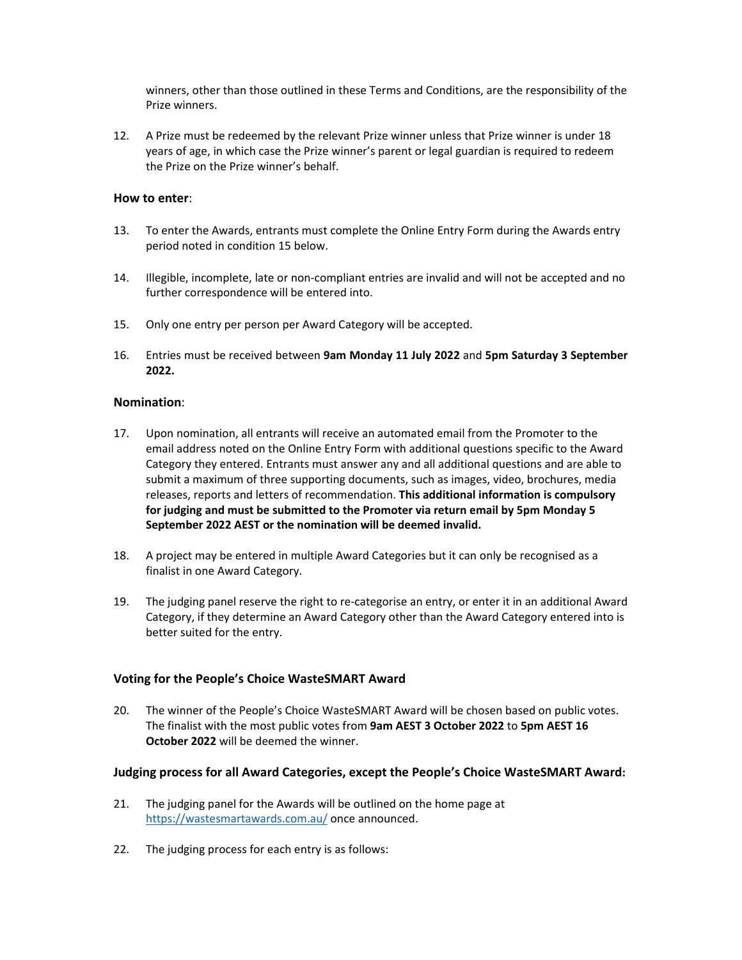winners, other than those outlined in these Terms and Conditions, are the responsibility of the Prize winners.

12. A Prize must be redeemed by the relevant Prize winner unless that Prize winner is under 18 years of age, in which case the Prize winner's parent or legal guardian is required to redeem the Prize on the Prize winner's behalf.

### **How to enter**:

- 13. To enter the Awards, entrants must complete the Online Entry Form during the Awards entry period noted in condition 15 below.
- 14. Illegible, incomplete, late or non-compliant entries are invalid and will not be accepted and no further correspondence will be entered into.
- 15. Only one entry per person per Award Category will be accepted.
- 16. Entries must be received between **9am Monday 11 July 2022** and **5pm Saturday 3 September 2022.**

### **Nomination**:

- 17. Upon nomination, all entrants will receive an automated email from the Promoter to the email address noted on the Online Entry Form with additional questions specific to the Award Category they entered. Entrants must answer any and all additional questions and are able to submit a maximum of three supporting documents, such as images, video, brochures, media releases, reports and letters of recommendation. **This additional information is compulsory for judging and must be submitted to the Promoter via return email by 5pm Monday 5 September 2022 AEST or the nomination will be deemed invalid.**
- 18. A project may be entered in multiple Award Categories but it can only be recognised as a finalist in one Award Category.
- 19. The judging panel reserve the right to re-categorise an entry, or enter it in an additional Award Category, if they determine an Award Category other than the Award Category entered into is better suited for the entry.

## **Voting for the People's Choice WasteSMART Award**

20. The winner of the People's Choice WasteSMART Award will be chosen based on public votes. The finalist with the most public votes from **9am AEST 3 October 2022** to **5pm AEST 16 October 2022** will be deemed the winner.

### **Judging process for all Award Categories, except the People's Choice WasteSMART Award:**

- 21. The judging panel for the Awards will be outlined on the home page at https://wastesmartawards.com.au/ once announced.
- 22. The judging process for each entry is as follows: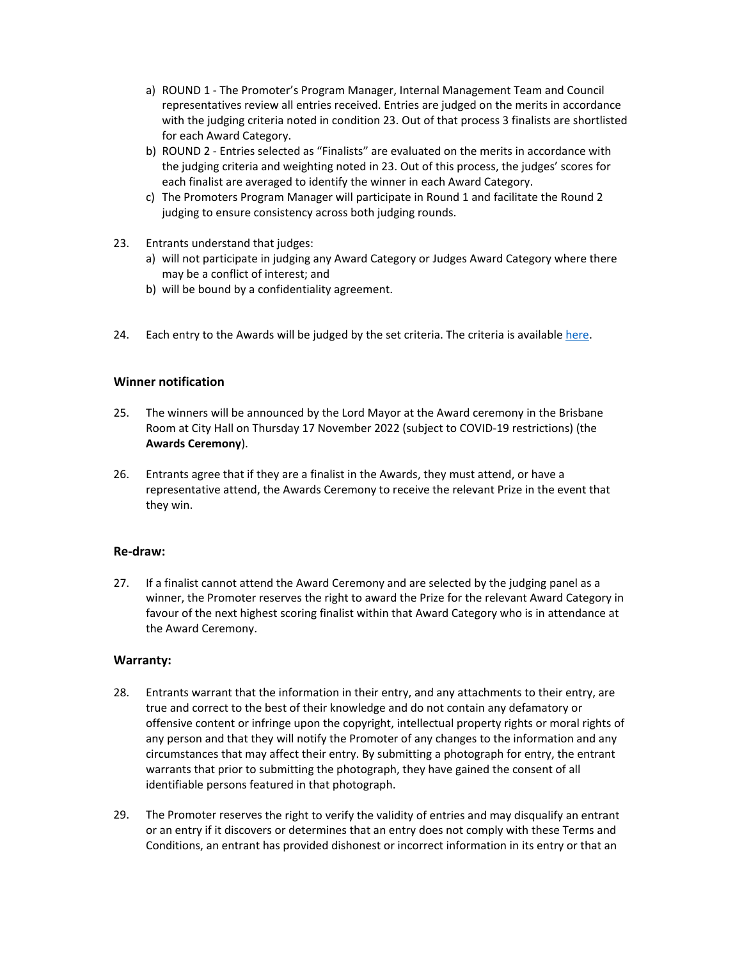- a) ROUND 1 ‐ The Promoter's Program Manager, Internal Management Team and Council representatives review all entries received. Entries are judged on the merits in accordance with the judging criteria noted in condition 23. Out of that process 3 finalists are shortlisted for each Award Category.
- b) ROUND 2 Entries selected as "Finalists" are evaluated on the merits in accordance with the judging criteria and weighting noted in 23. Out of this process, the judges' scores for each finalist are averaged to identify the winner in each Award Category.
- c) The Promoters Program Manager will participate in Round 1 and facilitate the Round 2 judging to ensure consistency across both judging rounds.
- 23. Entrants understand that judges:
	- a) will not participate in judging any Award Category or Judges Award Category where there may be a conflict of interest; and
	- b) will be bound by a confidentiality agreement.
- 24. Each entry to the Awards will be judged by the set criteria. The criteria is available here.

### **Winner notification**

- 25. The winners will be announced by the Lord Mayor at the Award ceremony in the Brisbane Room at City Hall on Thursday 17 November 2022 (subject to COVID‐19 restrictions) (the **Awards Ceremony**).
- 26. Entrants agree that if they are a finalist in the Awards, they must attend, or have a representative attend, the Awards Ceremony to receive the relevant Prize in the event that they win.

### **Re‐draw:**

27. If a finalist cannot attend the Award Ceremony and are selected by the judging panel as a winner, the Promoter reserves the right to award the Prize for the relevant Award Category in favour of the next highest scoring finalist within that Award Category who is in attendance at the Award Ceremony.

### **Warranty:**

- 28. Entrants warrant that the information in their entry, and any attachments to their entry, are true and correct to the best of their knowledge and do not contain any defamatory or offensive content or infringe upon the copyright, intellectual property rights or moral rights of any person and that they will notify the Promoter of any changes to the information and any circumstances that may affect their entry. By submitting a photograph for entry, the entrant warrants that prior to submitting the photograph, they have gained the consent of all identifiable persons featured in that photograph.
- 29. The Promoter reserves the right to verify the validity of entries and may disqualify an entrant or an entry if it discovers or determines that an entry does not comply with these Terms and Conditions, an entrant has provided dishonest or incorrect information in its entry or that an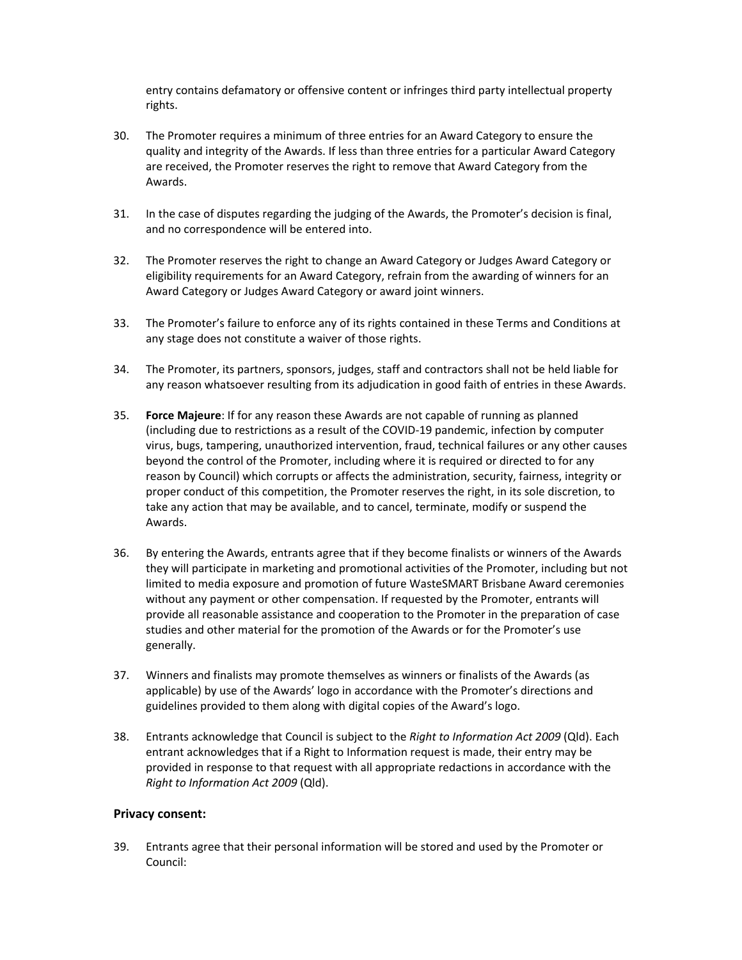entry contains defamatory or offensive content or infringes third party intellectual property rights.

- 30. The Promoter requires a minimum of three entries for an Award Category to ensure the quality and integrity of the Awards. If less than three entries for a particular Award Category are received, the Promoter reserves the right to remove that Award Category from the Awards.
- 31. In the case of disputes regarding the judging of the Awards, the Promoter's decision is final, and no correspondence will be entered into.
- 32. The Promoter reserves the right to change an Award Category or Judges Award Category or eligibility requirements for an Award Category, refrain from the awarding of winners for an Award Category or Judges Award Category or award joint winners.
- 33. The Promoter's failure to enforce any of its rights contained in these Terms and Conditions at any stage does not constitute a waiver of those rights.
- 34. The Promoter, its partners, sponsors, judges, staff and contractors shall not be held liable for any reason whatsoever resulting from its adjudication in good faith of entries in these Awards.
- 35. **Force Majeure**: If for any reason these Awards are not capable of running as planned (including due to restrictions as a result of the COVID‐19 pandemic, infection by computer virus, bugs, tampering, unauthorized intervention, fraud, technical failures or any other causes beyond the control of the Promoter, including where it is required or directed to for any reason by Council) which corrupts or affects the administration, security, fairness, integrity or proper conduct of this competition, the Promoter reserves the right, in its sole discretion, to take any action that may be available, and to cancel, terminate, modify or suspend the Awards.
- 36. By entering the Awards, entrants agree that if they become finalists or winners of the Awards they will participate in marketing and promotional activities of the Promoter, including but not limited to media exposure and promotion of future WasteSMART Brisbane Award ceremonies without any payment or other compensation. If requested by the Promoter, entrants will provide all reasonable assistance and cooperation to the Promoter in the preparation of case studies and other material for the promotion of the Awards or for the Promoter's use generally.
- 37. Winners and finalists may promote themselves as winners or finalists of the Awards (as applicable) by use of the Awards' logo in accordance with the Promoter's directions and guidelines provided to them along with digital copies of the Award's logo.
- 38. Entrants acknowledge that Council is subject to the *Right to Information Act 2009* (Qld). Each entrant acknowledges that if a Right to Information request is made, their entry may be provided in response to that request with all appropriate redactions in accordance with the *Right to Information Act 2009* (Qld).

### **Privacy consent:**

39. Entrants agree that their personal information will be stored and used by the Promoter or Council: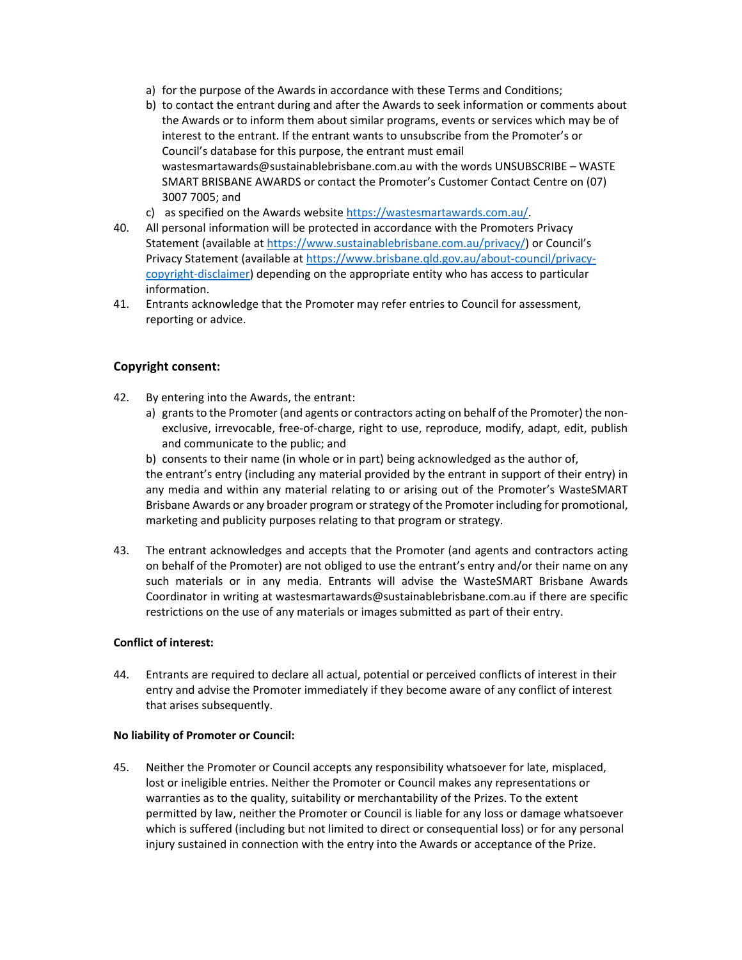- a) for the purpose of the Awards in accordance with these Terms and Conditions;
- b) to contact the entrant during and after the Awards to seek information or comments about the Awards or to inform them about similar programs, events or services which may be of interest to the entrant. If the entrant wants to unsubscribe from the Promoter's or Council's database for this purpose, the entrant must email wastesmartawards@sustainablebrisbane.com.au with the words UNSUBSCRIBE – WASTE SMART BRISBANE AWARDS or contact the Promoter's Customer Contact Centre on (07) 3007 7005; and
- c) as specified on the Awards website https://wastesmartawards.com.au/.
- 40. All personal information will be protected in accordance with the Promoters Privacy Statement (available at https://www.sustainablebrisbane.com.au/privacy/) or Council's Privacy Statement (available at https://www.brisbane.qld.gov.au/about‐council/privacy‐ copyright‐disclaimer) depending on the appropriate entity who has access to particular information.
- 41. Entrants acknowledge that the Promoter may refer entries to Council for assessment, reporting or advice.

### **Copyright consent:**

- 42. By entering into the Awards, the entrant:
	- a) grants to the Promoter (and agents or contractors acting on behalf of the Promoter) the nonexclusive, irrevocable, free‐of‐charge, right to use, reproduce, modify, adapt, edit, publish and communicate to the public; and

b) consents to their name (in whole or in part) being acknowledged as the author of, the entrant's entry (including any material provided by the entrant in support of their entry) in any media and within any material relating to or arising out of the Promoter's WasteSMART Brisbane Awards or any broader program or strategy of the Promoter including for promotional, marketing and publicity purposes relating to that program or strategy.

43. The entrant acknowledges and accepts that the Promoter (and agents and contractors acting on behalf of the Promoter) are not obliged to use the entrant's entry and/or their name on any such materials or in any media. Entrants will advise the WasteSMART Brisbane Awards Coordinator in writing at wastesmartawards@sustainablebrisbane.com.au if there are specific restrictions on the use of any materials or images submitted as part of their entry.

#### **Conflict of interest:**

44. Entrants are required to declare all actual, potential or perceived conflicts of interest in their entry and advise the Promoter immediately if they become aware of any conflict of interest that arises subsequently.

#### **No liability of Promoter or Council:**

45. Neither the Promoter or Council accepts any responsibility whatsoever for late, misplaced, lost or ineligible entries. Neither the Promoter or Council makes any representations or warranties as to the quality, suitability or merchantability of the Prizes. To the extent permitted by law, neither the Promoter or Council is liable for any loss or damage whatsoever which is suffered (including but not limited to direct or consequential loss) or for any personal injury sustained in connection with the entry into the Awards or acceptance of the Prize.